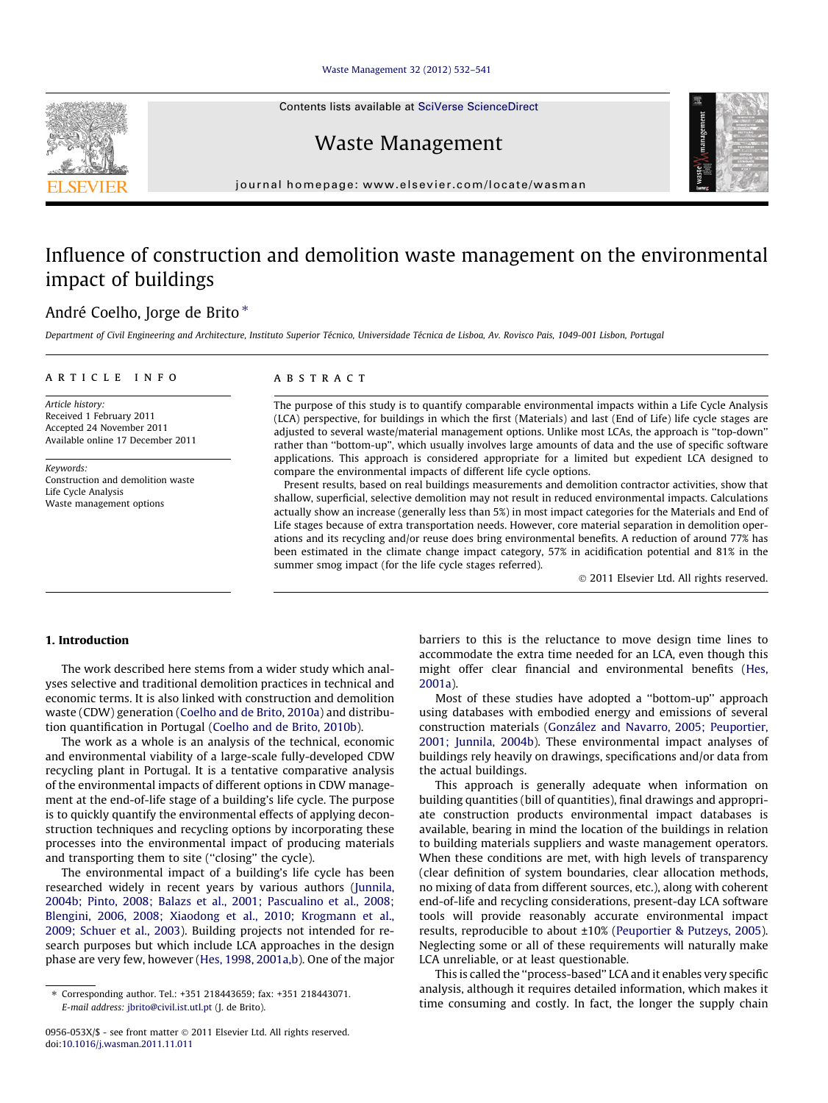#### [Waste Management 32 \(2012\) 532–541](http://dx.doi.org/10.1016/j.wasman.2011.11.011)

Contents lists available at [SciVerse ScienceDirect](http://www.sciencedirect.com/science/journal/0956053X)

Waste Management



## Influence of construction and demolition waste management on the environmental impact of buildings

## André Coelho, Jorge de Brito \*

Department of Civil Engineering and Architecture, Instituto Superior Técnico, Universidade Técnica de Lisboa, Av. Rovisco Pais, 1049-001 Lisbon, Portugal

#### article info

Article history: Received 1 February 2011 Accepted 24 November 2011 Available online 17 December 2011

Keywords: Construction and demolition waste Life Cycle Analysis Waste management options

#### **ABSTRACT**

The purpose of this study is to quantify comparable environmental impacts within a Life Cycle Analysis (LCA) perspective, for buildings in which the first (Materials) and last (End of Life) life cycle stages are adjusted to several waste/material management options. Unlike most LCAs, the approach is ''top-down'' rather than ''bottom-up'', which usually involves large amounts of data and the use of specific software applications. This approach is considered appropriate for a limited but expedient LCA designed to compare the environmental impacts of different life cycle options.

Present results, based on real buildings measurements and demolition contractor activities, show that shallow, superficial, selective demolition may not result in reduced environmental impacts. Calculations actually show an increase (generally less than 5%) in most impact categories for the Materials and End of Life stages because of extra transportation needs. However, core material separation in demolition operations and its recycling and/or reuse does bring environmental benefits. A reduction of around 77% has been estimated in the climate change impact category, 57% in acidification potential and 81% in the summer smog impact (for the life cycle stages referred).

- 2011 Elsevier Ltd. All rights reserved.

### 1. Introduction

The work described here stems from a wider study which analyses selective and traditional demolition practices in technical and economic terms. It is also linked with construction and demolition waste (CDW) generation ([Coelho and de Brito, 2010a\)](#page--1-0) and distribution quantification in Portugal [\(Coelho and de Brito, 2010b\)](#page--1-0).

The work as a whole is an analysis of the technical, economic and environmental viability of a large-scale fully-developed CDW recycling plant in Portugal. It is a tentative comparative analysis of the environmental impacts of different options in CDW management at the end-of-life stage of a building's life cycle. The purpose is to quickly quantify the environmental effects of applying deconstruction techniques and recycling options by incorporating these processes into the environmental impact of producing materials and transporting them to site ("closing" the cycle).

The environmental impact of a building's life cycle has been researched widely in recent years by various authors [\(Junnila,](#page--1-0) [2004b; Pinto, 2008; Balazs et al., 2001; Pascualino et al., 2008;](#page--1-0) [Blengini, 2006, 2008; Xiaodong et al., 2010; Krogmann et al.,](#page--1-0) [2009; Schuer et al., 2003\)](#page--1-0). Building projects not intended for research purposes but which include LCA approaches in the design phase are very few, however [\(Hes, 1998, 2001a,b](#page--1-0)). One of the major barriers to this is the reluctance to move design time lines to accommodate the extra time needed for an LCA, even though this might offer clear financial and environmental benefits ([Hes,](#page--1-0) [2001a\)](#page--1-0).

Most of these studies have adopted a ''bottom-up'' approach using databases with embodied energy and emissions of several construction materials ([González and Navarro, 2005; Peuportier,](#page--1-0) [2001; Junnila, 2004b](#page--1-0)). These environmental impact analyses of buildings rely heavily on drawings, specifications and/or data from the actual buildings.

This approach is generally adequate when information on building quantities (bill of quantities), final drawings and appropriate construction products environmental impact databases is available, bearing in mind the location of the buildings in relation to building materials suppliers and waste management operators. When these conditions are met, with high levels of transparency (clear definition of system boundaries, clear allocation methods, no mixing of data from different sources, etc.), along with coherent end-of-life and recycling considerations, present-day LCA software tools will provide reasonably accurate environmental impact results, reproducible to about ±10% ([Peuportier & Putzeys, 2005\)](#page--1-0). Neglecting some or all of these requirements will naturally make LCA unreliable, or at least questionable.

This is called the ''process-based'' LCA and it enables very specific analysis, although it requires detailed information, which makes it time consuming and costly. In fact, the longer the supply chain





<sup>⇑</sup> Corresponding author. Tel.: +351 218443659; fax: +351 218443071. E-mail address: [jbrito@civil.ist.utl.pt](mailto:jbrito@civil.ist.utl.pt) (J. de Brito).

<sup>0956-053</sup>X/\$ - see front matter © 2011 Elsevier Ltd. All rights reserved. doi:[10.1016/j.wasman.2011.11.011](http://dx.doi.org/10.1016/j.wasman.2011.11.011)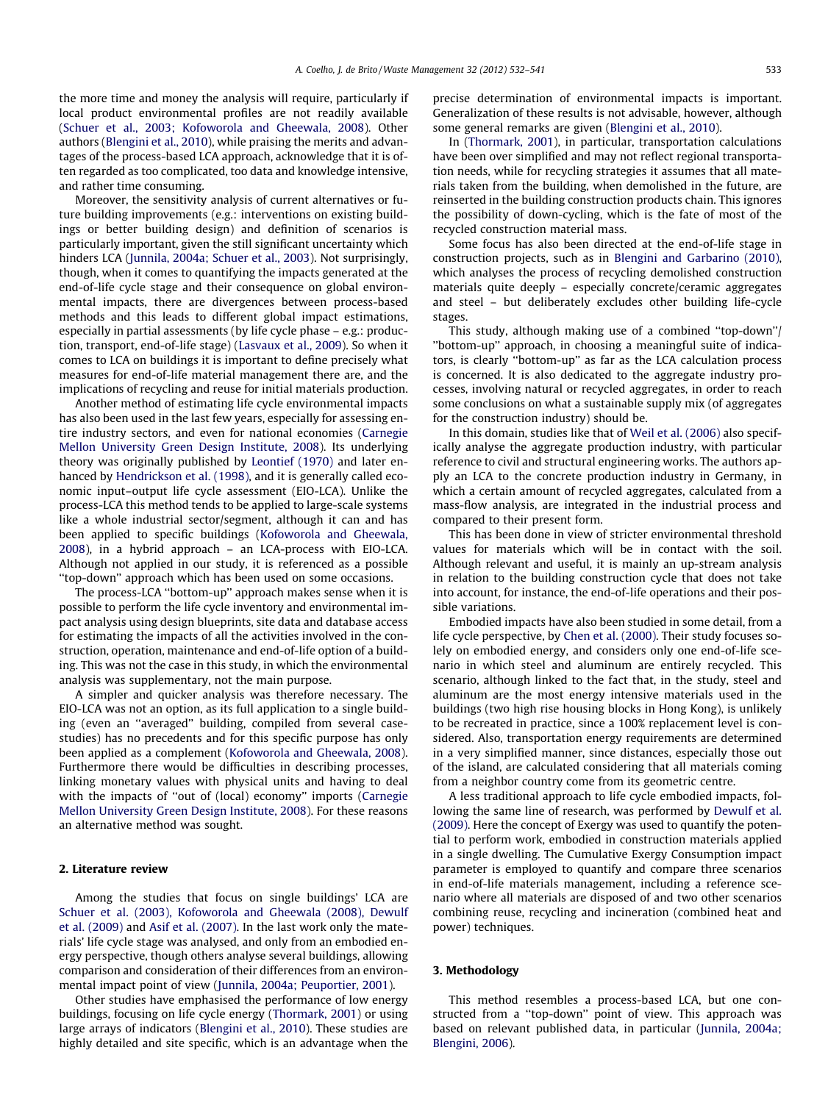the more time and money the analysis will require, particularly if local product environmental profiles are not readily available ([Schuer et al., 2003; Kofoworola and Gheewala, 2008](#page--1-0)). Other authors [\(Blengini et al., 2010](#page--1-0)), while praising the merits and advantages of the process-based LCA approach, acknowledge that it is often regarded as too complicated, too data and knowledge intensive, and rather time consuming.

Moreover, the sensitivity analysis of current alternatives or future building improvements (e.g.: interventions on existing buildings or better building design) and definition of scenarios is particularly important, given the still significant uncertainty which hinders LCA [\(Junnila, 2004a; Schuer et al., 2003\)](#page--1-0). Not surprisingly, though, when it comes to quantifying the impacts generated at the end-of-life cycle stage and their consequence on global environmental impacts, there are divergences between process-based methods and this leads to different global impact estimations, especially in partial assessments (by life cycle phase – e.g.: production, transport, end-of-life stage) ([Lasvaux et al., 2009\)](#page--1-0). So when it comes to LCA on buildings it is important to define precisely what measures for end-of-life material management there are, and the implications of recycling and reuse for initial materials production.

Another method of estimating life cycle environmental impacts has also been used in the last few years, especially for assessing entire industry sectors, and even for national economies ([Carnegie](#page--1-0) [Mellon University Green Design Institute, 2008\)](#page--1-0). Its underlying theory was originally published by [Leontief \(1970\)](#page--1-0) and later enhanced by [Hendrickson et al. \(1998\)](#page--1-0), and it is generally called economic input–output life cycle assessment (EIO-LCA). Unlike the process-LCA this method tends to be applied to large-scale systems like a whole industrial sector/segment, although it can and has been applied to specific buildings [\(Kofoworola and Gheewala,](#page--1-0) [2008](#page--1-0)), in a hybrid approach – an LCA-process with EIO-LCA. Although not applied in our study, it is referenced as a possible ''top-down'' approach which has been used on some occasions.

The process-LCA ''bottom-up'' approach makes sense when it is possible to perform the life cycle inventory and environmental impact analysis using design blueprints, site data and database access for estimating the impacts of all the activities involved in the construction, operation, maintenance and end-of-life option of a building. This was not the case in this study, in which the environmental analysis was supplementary, not the main purpose.

A simpler and quicker analysis was therefore necessary. The EIO-LCA was not an option, as its full application to a single building (even an ''averaged'' building, compiled from several casestudies) has no precedents and for this specific purpose has only been applied as a complement [\(Kofoworola and Gheewala, 2008\)](#page--1-0). Furthermore there would be difficulties in describing processes, linking monetary values with physical units and having to deal with the impacts of ''out of (local) economy'' imports ([Carnegie](#page--1-0) [Mellon University Green Design Institute, 2008\)](#page--1-0). For these reasons an alternative method was sought.

#### 2. Literature review

Among the studies that focus on single buildings' LCA are [Schuer et al. \(2003\), Kofoworola and Gheewala \(2008\), Dewulf](#page--1-0) [et al. \(2009\)](#page--1-0) and [Asif et al. \(2007\)](#page--1-0). In the last work only the materials' life cycle stage was analysed, and only from an embodied energy perspective, though others analyse several buildings, allowing comparison and consideration of their differences from an environmental impact point of view ([Junnila, 2004a; Peuportier, 2001\)](#page--1-0).

Other studies have emphasised the performance of low energy buildings, focusing on life cycle energy [\(Thormark, 2001\)](#page--1-0) or using large arrays of indicators ([Blengini et al., 2010\)](#page--1-0). These studies are highly detailed and site specific, which is an advantage when the precise determination of environmental impacts is important. Generalization of these results is not advisable, however, although some general remarks are given [\(Blengini et al., 2010\)](#page--1-0).

In [\(Thormark, 2001](#page--1-0)), in particular, transportation calculations have been over simplified and may not reflect regional transportation needs, while for recycling strategies it assumes that all materials taken from the building, when demolished in the future, are reinserted in the building construction products chain. This ignores the possibility of down-cycling, which is the fate of most of the recycled construction material mass.

Some focus has also been directed at the end-of-life stage in construction projects, such as in [Blengini and Garbarino \(2010\),](#page--1-0) which analyses the process of recycling demolished construction materials quite deeply – especially concrete/ceramic aggregates and steel – but deliberately excludes other building life-cycle stages.

This study, although making use of a combined ''top-down''/ ''bottom-up'' approach, in choosing a meaningful suite of indicators, is clearly ''bottom-up'' as far as the LCA calculation process is concerned. It is also dedicated to the aggregate industry processes, involving natural or recycled aggregates, in order to reach some conclusions on what a sustainable supply mix (of aggregates for the construction industry) should be.

In this domain, studies like that of [Weil et al. \(2006\)](#page--1-0) also specifically analyse the aggregate production industry, with particular reference to civil and structural engineering works. The authors apply an LCA to the concrete production industry in Germany, in which a certain amount of recycled aggregates, calculated from a mass-flow analysis, are integrated in the industrial process and compared to their present form.

This has been done in view of stricter environmental threshold values for materials which will be in contact with the soil. Although relevant and useful, it is mainly an up-stream analysis in relation to the building construction cycle that does not take into account, for instance, the end-of-life operations and their possible variations.

Embodied impacts have also been studied in some detail, from a life cycle perspective, by [Chen et al. \(2000\)](#page--1-0). Their study focuses solely on embodied energy, and considers only one end-of-life scenario in which steel and aluminum are entirely recycled. This scenario, although linked to the fact that, in the study, steel and aluminum are the most energy intensive materials used in the buildings (two high rise housing blocks in Hong Kong), is unlikely to be recreated in practice, since a 100% replacement level is considered. Also, transportation energy requirements are determined in a very simplified manner, since distances, especially those out of the island, are calculated considering that all materials coming from a neighbor country come from its geometric centre.

A less traditional approach to life cycle embodied impacts, following the same line of research, was performed by [Dewulf et al.](#page--1-0) [\(2009\)](#page--1-0). Here the concept of Exergy was used to quantify the potential to perform work, embodied in construction materials applied in a single dwelling. The Cumulative Exergy Consumption impact parameter is employed to quantify and compare three scenarios in end-of-life materials management, including a reference scenario where all materials are disposed of and two other scenarios combining reuse, recycling and incineration (combined heat and power) techniques.

#### 3. Methodology

This method resembles a process-based LCA, but one constructed from a ''top-down'' point of view. This approach was based on relevant published data, in particular [\(Junnila, 2004a;](#page--1-0) [Blengini, 2006\)](#page--1-0).